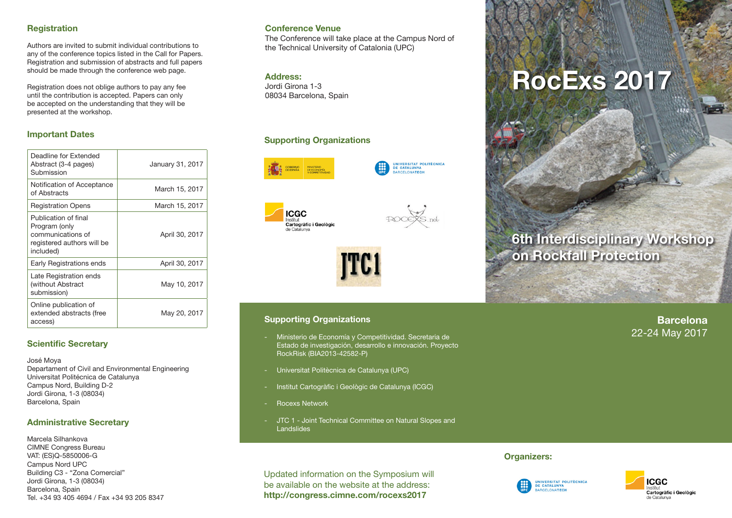## **Registration**

Authors are invited to submit individual contributions to any of the conference topics listed in the Call for Papers. Registration and submission of abstracts and full papers should be made through the conference web page.

Registration does not oblige authors to pay any fee until the contribution is accepted. Papers can only be accepted on the understanding that they will be presented at the workshop.

# **Important Dates**

| Deadline for Extended<br>Abstract (3-4 pages)<br>Submission                                           | January 31, 2017 |
|-------------------------------------------------------------------------------------------------------|------------------|
| Notification of Acceptance<br>of Abstracts                                                            | March 15, 2017   |
| <b>Registration Opens</b>                                                                             | March 15, 2017   |
| Publication of final<br>Program (only<br>communications of<br>registered authors will be<br>included) | April 30, 2017   |
| Early Registrations ends                                                                              | April 30, 2017   |
| Late Registration ends<br>(without Abstract<br>submission)                                            | May 10, 2017     |
| Online publication of<br>extended abstracts (free<br>access)                                          | May 20, 2017     |

## **Scientific Secretary**

José Moya Departament of Civil and Environmental Engineering Universitat Politécnica de Catalunya Campus Nord, Building D-2 Jordi Girona, 1-3 (08034) Barcelona, Spain

#### **Administrative Secretary**

Marcela Silhankova CIMNE Congress Bureau VAT: (ES)Q-5850006-G Campus Nord UPC Building C3 - "Zona Comercial" Jordi Girona, 1-3 (08034) Barcelona, Spain Tel. +34 93 405 4694 / Fax +34 93 205 8347

#### **Conference Venue**

The Conference will take place at the Campus Nord of the Technical University of Catalonia (UPC)

#### **Address:**

Jordi Girona 1-3 08034 Barcelona, Spain

# **Supporting Organizations**



UNIVERSITAT POLITÈCNICA<br>DE CATALUNYA ARCELONATECH







#### **Supporting Organizations**

- Ministerio de Economía y Competitividad. Secretaria de Estado de investigación, desarrollo e innovación. Proyecto RockRisk (BIA2013-42582-P)
- Universitat Politècnica de Catalunya (UPC)
- Institut Cartogràfic i Geològic de Catalunya (ICGC)
- Rocexs Network
- JTC 1 Joint Technical Committee on Natural Slopes and Landslides

Updated information on the Symposium will be available on the website at the address: **http://congress.cimne.com/rocexs2017**

# **RocExs 2017**

# **6th Interdisciplinary Workshop on Rockfall Protection**

**Barcelona** 22-24 May 2017

#### **Organizers:**